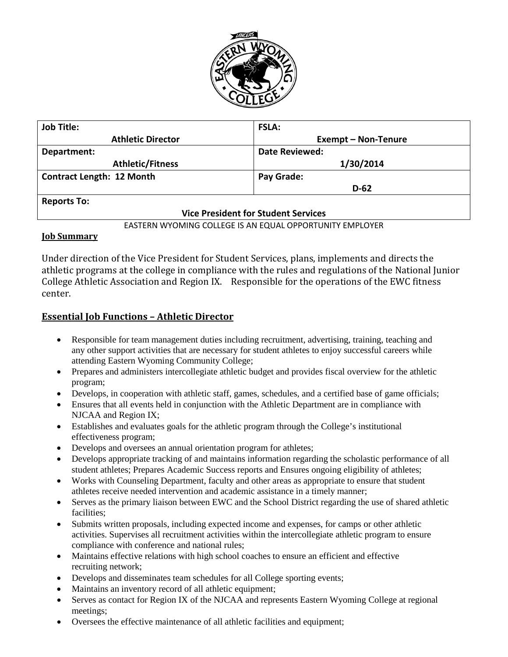

| <b>Job Title:</b>                          | <b>FSLA:</b>               |
|--------------------------------------------|----------------------------|
| <b>Athletic Director</b>                   | <b>Exempt - Non-Tenure</b> |
| Department:                                | <b>Date Reviewed:</b>      |
| <b>Athletic/Fitness</b>                    | 1/30/2014                  |
| <b>Contract Length: 12 Month</b>           | Pay Grade:                 |
|                                            | $D-62$                     |
| <b>Reports To:</b>                         |                            |
| <b>Vice President for Student Services</b> |                            |

#### EASTERN WYOMING COLLEGE IS AN EQUAL OPPORTUNITY EMPLOYER

#### **Job Summary**

Under direction of the Vice President for Student Services, plans, implements and directs the athletic programs at the college in compliance with the rules and regulations of the National Junior College Athletic Association and Region IX. Responsible for the operations of the EWC fitness center.

#### **Essential Job Functions – Athletic Director**

- Responsible for team management duties including recruitment, advertising, training, teaching and any other support activities that are necessary for student athletes to enjoy successful careers while attending Eastern Wyoming Community College;
- Prepares and administers intercollegiate athletic budget and provides fiscal overview for the athletic program;
- Develops, in cooperation with athletic staff, games, schedules, and a certified base of game officials;
- Ensures that all events held in conjunction with the Athletic Department are in compliance with NJCAA and Region IX;
- Establishes and evaluates goals for the athletic program through the College's institutional effectiveness program;
- Develops and oversees an annual orientation program for athletes;
- Develops appropriate tracking of and maintains information regarding the scholastic performance of all student athletes; Prepares Academic Success reports and Ensures ongoing eligibility of athletes;
- Works with Counseling Department, faculty and other areas as appropriate to ensure that student athletes receive needed intervention and academic assistance in a timely manner;
- Serves as the primary liaison between EWC and the School District regarding the use of shared athletic facilities;
- Submits written proposals, including expected income and expenses, for camps or other athletic activities. Supervises all recruitment activities within the intercollegiate athletic program to ensure compliance with conference and national rules;
- Maintains effective relations with high school coaches to ensure an efficient and effective recruiting network;
- Develops and disseminates team schedules for all College sporting events;
- Maintains an inventory record of all athletic equipment;
- Serves as contact for Region IX of the NJCAA and represents Eastern Wyoming College at regional meetings;
- Oversees the effective maintenance of all athletic facilities and equipment;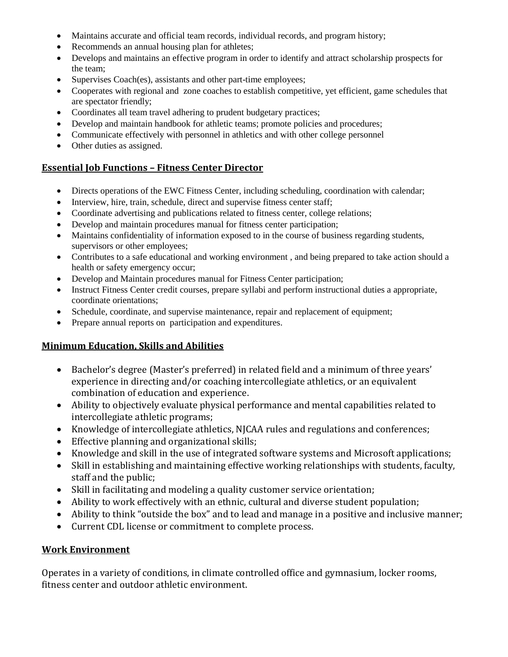- Maintains accurate and official team records, individual records, and program history;
- Recommends an annual housing plan for athletes;
- Develops and maintains an effective program in order to identify and attract scholarship prospects for the team;
- Supervises Coach(es), assistants and other part-time employees;
- Cooperates with regional and zone coaches to establish competitive, yet efficient, game schedules that are spectator friendly;
- Coordinates all team travel adhering to prudent budgetary practices;
- Develop and maintain handbook for athletic teams; promote policies and procedures;
- Communicate effectively with personnel in athletics and with other college personnel
- Other duties as assigned.

### **Essential Job Functions – Fitness Center Director**

- Directs operations of the EWC Fitness Center, including scheduling, coordination with calendar;
- Interview, hire, train, schedule, direct and supervise fitness center staff;
- Coordinate advertising and publications related to fitness center, college relations;
- Develop and maintain procedures manual for fitness center participation;
- Maintains confidentiality of information exposed to in the course of business regarding students, supervisors or other employees;
- Contributes to a safe educational and working environment , and being prepared to take action should a health or safety emergency occur;
- Develop and Maintain procedures manual for Fitness Center participation;
- Instruct Fitness Center credit courses, prepare syllabi and perform instructional duties a appropriate, coordinate orientations;
- Schedule, coordinate, and supervise maintenance, repair and replacement of equipment;
- Prepare annual reports on participation and expenditures.

# **Minimum Education, Skills and Abilities**

- Bachelor's degree (Master's preferred) in related field and a minimum of three years' experience in directing and/or coaching intercollegiate athletics, or an equivalent combination of education and experience.
- Ability to objectively evaluate physical performance and mental capabilities related to intercollegiate athletic programs;
- Knowledge of intercollegiate athletics, NJCAA rules and regulations and conferences;
- Effective planning and organizational skills;
- Knowledge and skill in the use of integrated software systems and Microsoft applications;
- Skill in establishing and maintaining effective working relationships with students, faculty, staff and the public;
- Skill in facilitating and modeling a quality customer service orientation;
- Ability to work effectively with an ethnic, cultural and diverse student population;
- Ability to think "outside the box" and to lead and manage in a positive and inclusive manner;
- Current CDL license or commitment to complete process.

### **Work Environment**

Operates in a variety of conditions, in climate controlled office and gymnasium, locker rooms, fitness center and outdoor athletic environment.